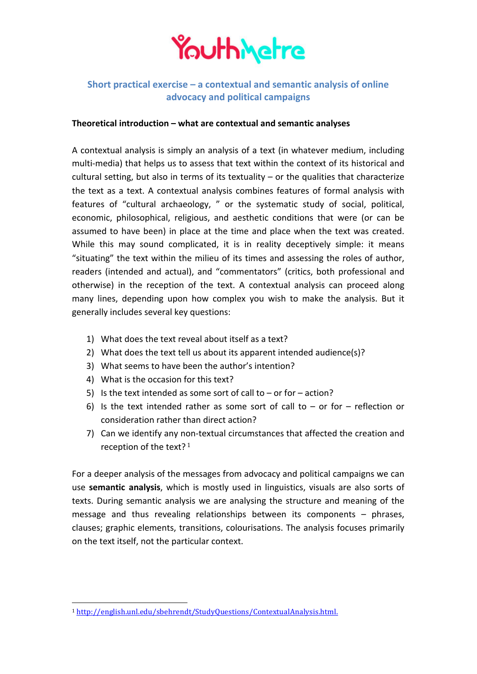

## **Short practical exercise – a contextual and semantic analysis of online advocacy and political campaigns**

## **Theoretical introduction – what are contextual and semantic analyses**

A contextual analysis is simply an analysis of a text (in whatever medium, including multi-media) that helps us to assess that text within the context of its historical and cultural setting, but also in terms of its textuality  $-$  or the qualities that characterize the text as a text. A contextual analysis combines features of formal analysis with features of "cultural archaeology, " or the systematic study of social, political, economic, philosophical, religious, and aesthetic conditions that were (or can be assumed to have been) in place at the time and place when the text was created. While this may sound complicated, it is in reality deceptively simple: it means "situating" the text within the milieu of its times and assessing the roles of author, readers (intended and actual), and "commentators" (critics, both professional and otherwise) in the reception of the text. A contextual analysis can proceed along many lines, depending upon how complex you wish to make the analysis. But it generally includes several key questions:

- 1) What does the text reveal about itself as a text?
- 2) What does the text tell us about its apparent intended audience(s)?
- 3) What seems to have been the author's intention?
- 4) What is the occasion for this text?

 

- 5) Is the text intended as some sort of call to or for action?
- 6) Is the text intended rather as some sort of call to or for reflection or consideration rather than direct action?
- 7) Can we identify any non-textual circumstances that affected the creation and reception of the text? $1$

For a deeper analysis of the messages from advocacy and political campaigns we can use **semantic analysis**, which is mostly used in linguistics, visuals are also sorts of texts. During semantic analysis we are analysing the structure and meaning of the message and thus revealing relationships between its components  $-$  phrases, clauses; graphic elements, transitions, colourisations. The analysis focuses primarily on the text itself, not the particular context.

<sup>1</sup> http://english.unl.edu/sbehrendt/StudyQuestions/ContextualAnalysis.html.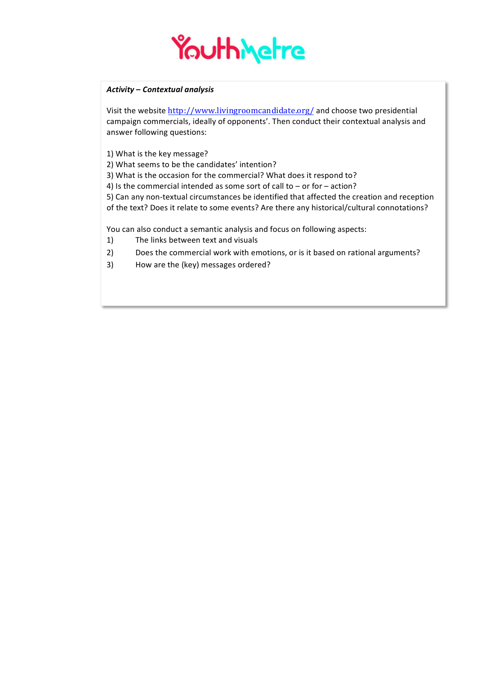

## *Activity* **–** *Contextual analysis*

Visit the website http://www.livingroomcandidate.org/ and choose two presidential campaign commercials, ideally of opponents'. Then conduct their contextual analysis and answer following questions:

1) What is the key message?

2) What seems to be the candidates' intention?

3) What is the occasion for the commercial? What does it respond to?

4) Is the commercial intended as some sort of call to  $-$  or for  $-$  action?

5) Can any non-textual circumstances be identified that affected the creation and reception of the text? Does it relate to some events? Are there any historical/cultural connotations?

You can also conduct a semantic analysis and focus on following aspects:

- 1) The links between text and visuals
- 2) Does the commercial work with emotions, or is it based on rational arguments?
- 3) How are the (key) messages ordered?